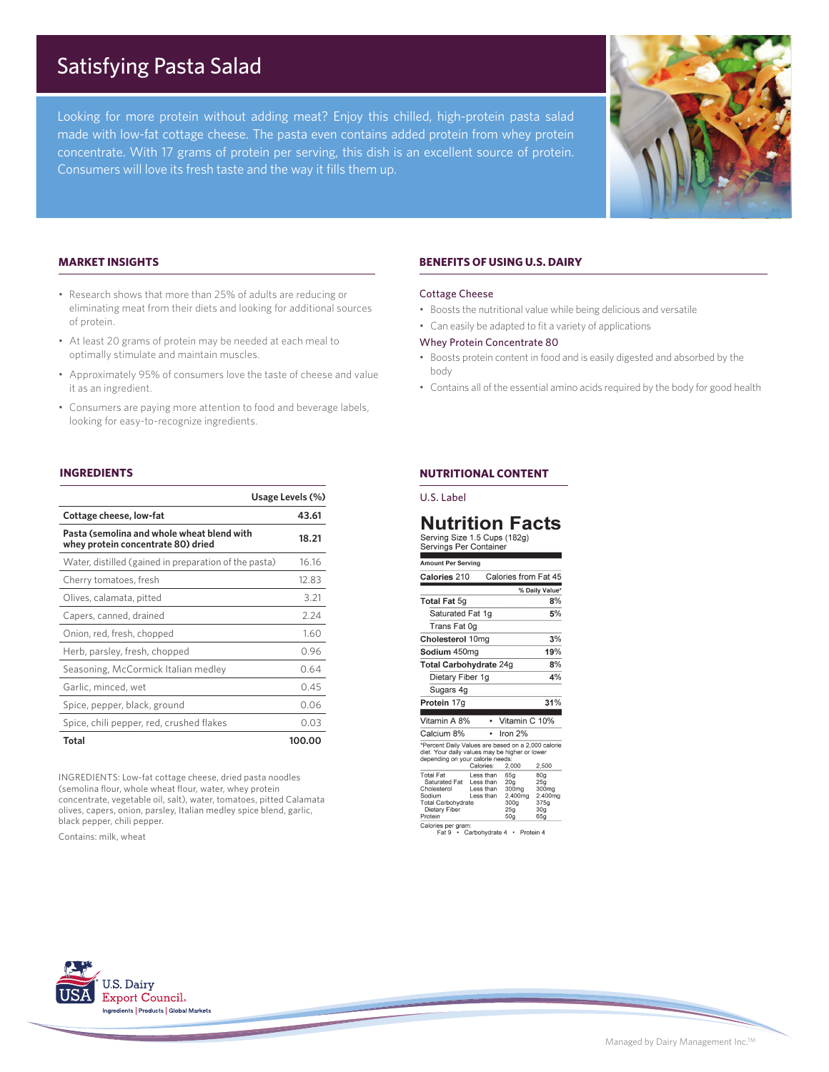# Satisfying Pasta Salad

Looking for more protein without adding meat? Enjoy this chilled, high-protein pasta salad made with low-fat cottage cheese. The pasta even contains added protein from whey protein concentrate. With 17 grams of protein per serving, this dish is an excellent source of protein. Consumers will love its fresh taste and the way it fills them up.



# **MARKET INSIGHTS**

- Research shows that more than 25% of adults are reducing or eliminating meat from their diets and looking for additional sources of protein.
- At least 20 grams of protein may be needed at each meal to optimally stimulate and maintain muscles.
- Approximately 95% of consumers love the taste of cheese and value it as an ingredient.
- Consumers are paying more attention to food and beverage labels, looking for easy-to-recognize ingredients.

# **INGREDIENTS**

|                                                                                  | Usage Levels (%) |
|----------------------------------------------------------------------------------|------------------|
| Cottage cheese, low-fat                                                          | 43.61            |
| Pasta (semolina and whole wheat blend with<br>whey protein concentrate 80) dried | 18.21            |
| Water, distilled (gained in preparation of the pasta)                            | 16.16            |
| Cherry tomatoes, fresh                                                           | 12.83            |
| Olives, calamata, pitted                                                         | 3.21             |
| Capers, canned, drained                                                          | 2.24             |
| Onion, red, fresh, chopped                                                       | 1.60             |
| Herb, parsley, fresh, chopped                                                    | 0.96             |
| Seasoning, McCormick Italian medley                                              | 0.64             |
| Garlic, minced, wet                                                              | 0.45             |
| Spice, pepper, black, ground                                                     | 0.06             |
| Spice, chili pepper, red, crushed flakes                                         | 0.03             |
| Total                                                                            | 100.00           |

INGREDIENTS: Low-fat cottage cheese, dried pasta noodles (semolina flour, whole wheat flour, water, whey protein concentrate, vegetable oil, salt), water, tomatoes, pitted Calamata olives, capers, onion, parsley, Italian medley spice blend, garlic, black pepper, chili pepper.

Contains: milk, wheat

# **BENEFITS OF USING U.S. DAIRY**

#### Cottage Cheese

- Boosts the nutritional value while being delicious and versatile
- Can easily be adapted to fit a variety of applications

#### Whey Protein Concentrate 80

- Boosts protein content in food and is easily digested and absorbed by the body
- Contains all of the essential amino acids required by the body for good health

# **NUTRITIONAL CONTENT**

U.S. Label

# **Nutrition Facts**

| Serving Size 1.5 Cups (1629)<br>Servings Per Container                                                                                                                  |                                                  |                                                                              |                                                                  |  |
|-------------------------------------------------------------------------------------------------------------------------------------------------------------------------|--------------------------------------------------|------------------------------------------------------------------------------|------------------------------------------------------------------|--|
| <b>Amount Per Serving</b>                                                                                                                                               |                                                  |                                                                              |                                                                  |  |
| Calories 210                                                                                                                                                            |                                                  | Calories from Fat 45                                                         |                                                                  |  |
|                                                                                                                                                                         |                                                  |                                                                              | % Daily Value*                                                   |  |
| <b>Total Fat 5g</b>                                                                                                                                                     |                                                  |                                                                              | 8%                                                               |  |
| Saturated Fat 1q                                                                                                                                                        |                                                  |                                                                              | 5%                                                               |  |
| Trans Fat 0g                                                                                                                                                            |                                                  |                                                                              |                                                                  |  |
| Cholesterol 10mg                                                                                                                                                        |                                                  |                                                                              | 3%                                                               |  |
| Sodium 450mg                                                                                                                                                            |                                                  |                                                                              | 19%                                                              |  |
| Total Carbohydrate 24g                                                                                                                                                  |                                                  |                                                                              | 8%                                                               |  |
| Dietary Fiber 1g                                                                                                                                                        |                                                  |                                                                              | 4%                                                               |  |
| Sugars 4g                                                                                                                                                               |                                                  |                                                                              |                                                                  |  |
| Protein 17g                                                                                                                                                             |                                                  |                                                                              | 31%                                                              |  |
| Vitamin A 8%                                                                                                                                                            | ٠                                                | Vitamin C 10%                                                                |                                                                  |  |
| Calcium 8%                                                                                                                                                              |                                                  | Iron $2%$                                                                    |                                                                  |  |
| *Percent Daily Values are based on a 2,000 calorie<br>diet. Your daily values may be higher or lower<br>depending on your calorie needs:<br>Calories:<br>2,000<br>2,500 |                                                  |                                                                              |                                                                  |  |
| <b>Total Fat</b><br>Saturated Fat<br>Cholesterol<br>Sodium<br><b>Total Carbohydrate</b><br>Dietary Fiber<br>Protein                                                     | Less than<br>Less than<br>Less than<br>Less than | 65q<br>20 <sub>a</sub><br>300mg<br>2,400mg<br>300 <sub>q</sub><br>25a<br>50g | 80q<br>25a<br>300mg<br>2,400mg<br>375g<br>30 <sub>a</sub><br>65g |  |

Calories per gram:<br>
Fat 9 • Carbohydrate 4 • Protein 4



Managed by Dairy Management Inc.TM